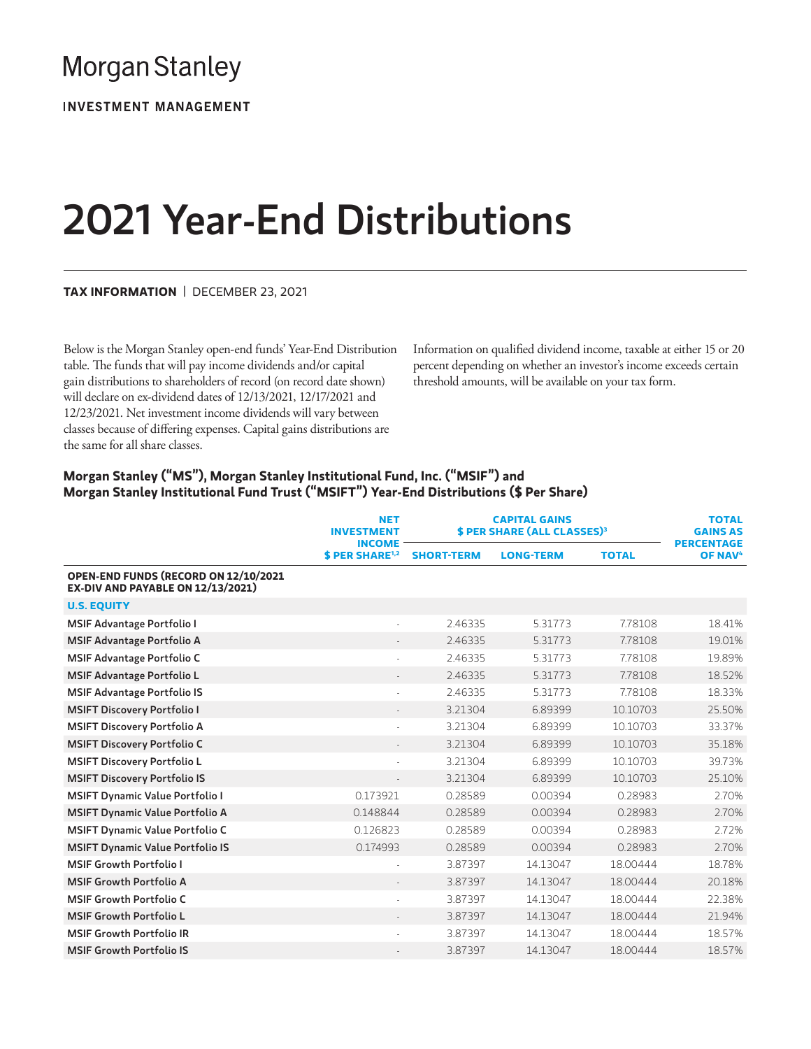## **Morgan Stanley**

**INVESTMENT MANAGEMENT** 

# 2021 Year-End Distributions

#### **TAX INFORMATION** | DECEMBER 23, 2021

Below is the Morgan Stanley open-end funds' Year-End Distribution table. The funds that will pay income dividends and/or capital gain distributions to shareholders of record (on record date shown) will declare on ex-dividend dates of 12/13/2021, 12/17/2021 and 12/23/2021. Net investment income dividends will vary between classes because of differing expenses. Capital gains distributions are the same for all share classes.

Information on qualified dividend income, taxable at either 15 or 20 percent depending on whether an investor's income exceeds certain threshold amounts, will be available on your tax form.

### **Morgan Stanley ("MS"), Morgan Stanley Institutional Fund, Inc. ("MSIF") and Morgan Stanley Institutional Fund Trust ("MSIFT") Year-End Distributions (\$ Per Share)**

|                                                                                  | <b>NET</b><br><b>INVESTMENT</b><br><b>INCOME</b> | <b>CAPITAL GAINS</b><br>\$ PER SHARE (ALL CLASSES) <sup>3</sup> |                  |              | <b>TOTAL</b><br><b>GAINS AS</b>          |
|----------------------------------------------------------------------------------|--------------------------------------------------|-----------------------------------------------------------------|------------------|--------------|------------------------------------------|
|                                                                                  | \$ PER SHARE <sup>1,2</sup>                      | <b>SHORT-TERM</b>                                               | <b>LONG-TERM</b> | <b>TOTAL</b> | <b>PERCENTAGE</b><br>OF NAV <sup>4</sup> |
| OPEN-END FUNDS (RECORD ON 12/10/2021<br><b>EX-DIV AND PAYABLE ON 12/13/2021)</b> |                                                  |                                                                 |                  |              |                                          |
| <b>U.S. EQUITY</b>                                                               |                                                  |                                                                 |                  |              |                                          |
| <b>MSIF Advantage Portfolio I</b>                                                | $\sim$                                           | 2.46335                                                         | 5.31773          | 7.78108      | 18.41%                                   |
| <b>MSIF Advantage Portfolio A</b>                                                |                                                  | 2.46335                                                         | 5.31773          | 7.78108      | 19.01%                                   |
| <b>MSIF Advantage Portfolio C</b>                                                |                                                  | 2.46335                                                         | 5.31773          | 7.78108      | 19.89%                                   |
| <b>MSIF Advantage Portfolio L</b>                                                |                                                  | 2.46335                                                         | 5.31773          | 7.78108      | 18.52%                                   |
| <b>MSIF Advantage Portfolio IS</b>                                               |                                                  | 2.46335                                                         | 5.31773          | 7.78108      | 18.33%                                   |
| <b>MSIFT Discovery Portfolio I</b>                                               |                                                  | 3.21304                                                         | 6.89399          | 10.10703     | 25.50%                                   |
| <b>MSIFT Discovery Portfolio A</b>                                               |                                                  | 3.21304                                                         | 6.89399          | 10.10703     | 33.37%                                   |
| <b>MSIFT Discovery Portfolio C</b>                                               |                                                  | 3.21304                                                         | 6.89399          | 10.10703     | 35.18%                                   |
| <b>MSIFT Discovery Portfolio L</b>                                               |                                                  | 3.21304                                                         | 6.89399          | 10.10703     | 39.73%                                   |
| <b>MSIFT Discovery Portfolio IS</b>                                              |                                                  | 3.21304                                                         | 6.89399          | 10.10703     | 25.10%                                   |
| <b>MSIFT Dynamic Value Portfolio I</b>                                           | 0.173921                                         | 0.28589                                                         | 0.00394          | 0.28983      | 2.70%                                    |
| MSIFT Dynamic Value Portfolio A                                                  | 0.148844                                         | 0.28589                                                         | 0.00394          | 0.28983      | 2.70%                                    |
| <b>MSIFT Dynamic Value Portfolio C</b>                                           | 0.126823                                         | 0.28589                                                         | 0.00394          | 0.28983      | 2.72%                                    |
| <b>MSIFT Dynamic Value Portfolio IS</b>                                          | 0.174993                                         | 0.28589                                                         | 0.00394          | 0.28983      | 2.70%                                    |
| <b>MSIF Growth Portfolio I</b>                                                   |                                                  | 3.87397                                                         | 14.13047         | 18.00444     | 18.78%                                   |
| <b>MSIF Growth Portfolio A</b>                                                   |                                                  | 3.87397                                                         | 14.13047         | 18.00444     | 20.18%                                   |
| <b>MSIF Growth Portfolio C</b>                                                   |                                                  | 3.87397                                                         | 14.13047         | 18.00444     | 22.38%                                   |
| <b>MSIF Growth Portfolio L</b>                                                   |                                                  | 3.87397                                                         | 14.13047         | 18.00444     | 21.94%                                   |
| <b>MSIF Growth Portfolio IR</b>                                                  |                                                  | 3.87397                                                         | 14.13047         | 18.00444     | 18.57%                                   |
| <b>MSIF Growth Portfolio IS</b>                                                  |                                                  | 3.87397                                                         | 14.13047         | 18.00444     | 18.57%                                   |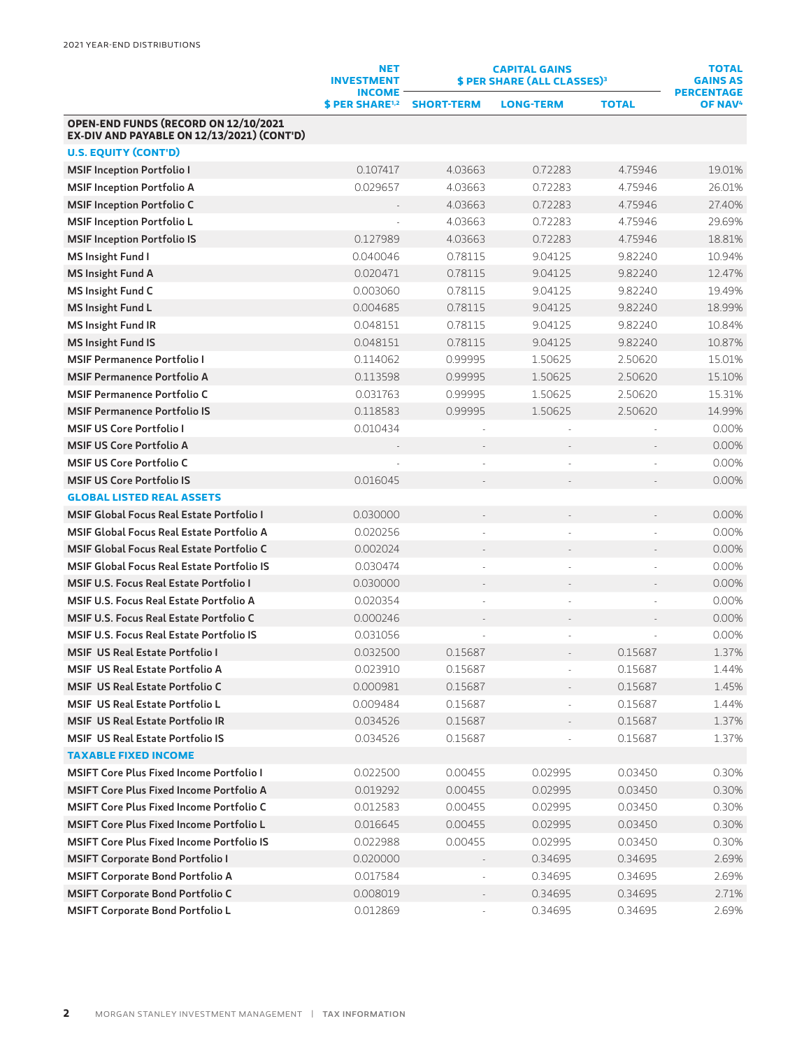|                                                                                    | <b>NET</b><br><b>INVESTMENT</b><br><b>INCOME</b> | <b>CAPITAL GAINS</b><br>\$ PER SHARE (ALL CLASSES) <sup>3</sup> |                  | <b>TOTAL</b><br><b>GAINS AS</b><br><b>PERCENTAGE</b> |                     |
|------------------------------------------------------------------------------------|--------------------------------------------------|-----------------------------------------------------------------|------------------|------------------------------------------------------|---------------------|
|                                                                                    | \$ PER SHARE <sup>1,2</sup>                      | <b>SHORT-TERM</b>                                               | <b>LONG-TERM</b> | <b>TOTAL</b>                                         | OF NAV <sup>4</sup> |
| OPEN-END FUNDS (RECORD ON 12/10/2021<br>EX-DIV AND PAYABLE ON 12/13/2021) (CONT'D) |                                                  |                                                                 |                  |                                                      |                     |
| <b>U.S. EQUITY (CONT'D)</b>                                                        |                                                  |                                                                 |                  |                                                      |                     |
| <b>MSIF Inception Portfolio I</b>                                                  | 0.107417                                         | 4.03663                                                         | 0.72283          | 4.75946                                              | 19.01%              |
| <b>MSIF Inception Portfolio A</b>                                                  | 0.029657                                         | 4.03663                                                         | 0.72283          | 4.75946                                              | 26.01%              |
| <b>MSIF Inception Portfolio C</b>                                                  |                                                  | 4.03663                                                         | 0.72283          | 4.75946                                              | 27.40%              |
| <b>MSIF Inception Portfolio L</b>                                                  |                                                  | 4.03663                                                         | 0.72283          | 4.75946                                              | 29.69%              |
| <b>MSIF Inception Portfolio IS</b>                                                 | 0.127989                                         | 4.03663                                                         | 0.72283          | 4.75946                                              | 18.81%              |
| MS Insight Fund I                                                                  | 0.040046                                         | 0.78115                                                         | 9.04125          | 9.82240                                              | 10.94%              |
| <b>MS Insight Fund A</b>                                                           | 0.020471                                         | 0.78115                                                         | 9.04125          | 9.82240                                              | 12.47%              |
| MS Insight Fund C                                                                  | 0.003060                                         | 0.78115                                                         | 9.04125          | 9.82240                                              | 19.49%              |
| MS Insight Fund L                                                                  | 0.004685                                         | 0.78115                                                         | 9.04125          | 9.82240                                              | 18.99%              |
| <b>MS Insight Fund IR</b>                                                          | 0.048151                                         | 0.78115                                                         | 9.04125          | 9.82240                                              | 10.84%              |
| <b>MS Insight Fund IS</b>                                                          | 0.048151                                         | 0.78115                                                         | 9.04125          | 9.82240                                              | 10.87%              |
| <b>MSIF Permanence Portfolio I</b>                                                 | 0.114062                                         | 0.99995                                                         | 1.50625          | 2.50620                                              | 15.01%              |
| <b>MSIF Permanence Portfolio A</b>                                                 | 0.113598                                         | 0.99995                                                         | 1.50625          | 2.50620                                              | 15.10%              |
| <b>MSIF Permanence Portfolio C</b>                                                 | 0.031763                                         | 0.99995                                                         | 1.50625          | 2.50620                                              | 15.31%              |
| <b>MSIF Permanence Portfolio IS</b>                                                | 0.118583                                         | 0.99995                                                         | 1.50625          | 2.50620                                              | 14.99%              |
| <b>MSIF US Core Portfolio I</b>                                                    | 0.010434                                         |                                                                 |                  |                                                      | 0.00%               |
| <b>MSIF US Core Portfolio A</b>                                                    |                                                  |                                                                 |                  |                                                      | 0.00%               |
| <b>MSIF US Core Portfolio C</b>                                                    |                                                  |                                                                 |                  |                                                      | 0.00%               |
| <b>MSIF US Core Portfolio IS</b>                                                   | 0.016045                                         |                                                                 |                  |                                                      | 0.00%               |
| <b>GLOBAL LISTED REAL ASSETS</b>                                                   |                                                  |                                                                 |                  |                                                      |                     |
| <b>MSIF Global Focus Real Estate Portfolio I</b>                                   | 0.030000                                         |                                                                 |                  |                                                      | 0.00%               |
| <b>MSIF Global Focus Real Estate Portfolio A</b>                                   | 0.020256                                         |                                                                 |                  |                                                      | 0.00%               |
| <b>MSIF Global Focus Real Estate Portfolio C</b>                                   | 0.002024                                         |                                                                 |                  |                                                      | 0.00%               |
| <b>MSIF Global Focus Real Estate Portfolio IS</b>                                  | 0.030474                                         |                                                                 |                  |                                                      | 0.00%               |
| <b>MSIF U.S. Focus Real Estate Portfolio I</b>                                     | 0.030000                                         |                                                                 |                  |                                                      | 0.00%               |
| <b>MSIF U.S. Focus Real Estate Portfolio A</b>                                     | 0.020354                                         |                                                                 |                  |                                                      | 0.00%               |
| <b>MSIF U.S. Focus Real Estate Portfolio C</b>                                     | 0.000246                                         |                                                                 |                  |                                                      | 0.00%               |
| MSIF U.S. Focus Real Estate Portfolio IS                                           | 0.031056                                         |                                                                 |                  |                                                      | 0.00%               |
| MSIF US Real Estate Portfolio I                                                    | 0.032500                                         | 0.15687                                                         |                  | 0.15687                                              | 1.37%               |
| MSIF US Real Estate Portfolio A                                                    | 0.023910                                         | 0.15687                                                         |                  | 0.15687                                              | 1.44%               |
| <b>MSIF US Real Estate Portfolio C</b>                                             | 0.000981                                         | 0.15687                                                         |                  | 0.15687                                              | 1.45%               |
| MSIF US Real Estate Portfolio L                                                    | 0.009484                                         | 0.15687                                                         |                  | 0.15687                                              | 1.44%               |
| <b>MSIF US Real Estate Portfolio IR</b>                                            | 0.034526                                         | 0.15687                                                         |                  | 0.15687                                              | 1.37%               |
| <b>MSIF US Real Estate Portfolio IS</b>                                            | 0.034526                                         | 0.15687                                                         |                  | 0.15687                                              | 1.37%               |
| <b>TAXABLE FIXED INCOME</b>                                                        |                                                  |                                                                 |                  |                                                      |                     |
| <b>MSIFT Core Plus Fixed Income Portfolio I</b>                                    | 0.022500                                         | 0.00455                                                         | 0.02995          | 0.03450                                              | 0.30%               |
| <b>MSIFT Core Plus Fixed Income Portfolio A</b>                                    | 0.019292                                         | 0.00455                                                         | 0.02995          | 0.03450                                              | 0.30%               |
| <b>MSIFT Core Plus Fixed Income Portfolio C</b>                                    | 0.012583                                         | 0.00455                                                         | 0.02995          | 0.03450                                              | 0.30%               |
| <b>MSIFT Core Plus Fixed Income Portfolio L</b>                                    | 0.016645                                         | 0.00455                                                         | 0.02995          | 0.03450                                              | 0.30%               |
| <b>MSIFT Core Plus Fixed Income Portfolio IS</b>                                   | 0.022988                                         | 0.00455                                                         | 0.02995          | 0.03450                                              | 0.30%               |
| <b>MSIFT Corporate Bond Portfolio I</b>                                            | 0.020000                                         |                                                                 | 0.34695          | 0.34695                                              | 2.69%               |
| <b>MSIFT Corporate Bond Portfolio A</b>                                            | 0.017584                                         |                                                                 | 0.34695          | 0.34695                                              | 2.69%               |
| <b>MSIFT Corporate Bond Portfolio C</b>                                            | 0.008019                                         |                                                                 | 0.34695          | 0.34695                                              | 2.71%               |
| MSIFT Corporate Bond Portfolio L                                                   | 0.012869                                         | $\overline{\phantom{a}}$                                        | 0.34695          | 0.34695                                              | 2.69%               |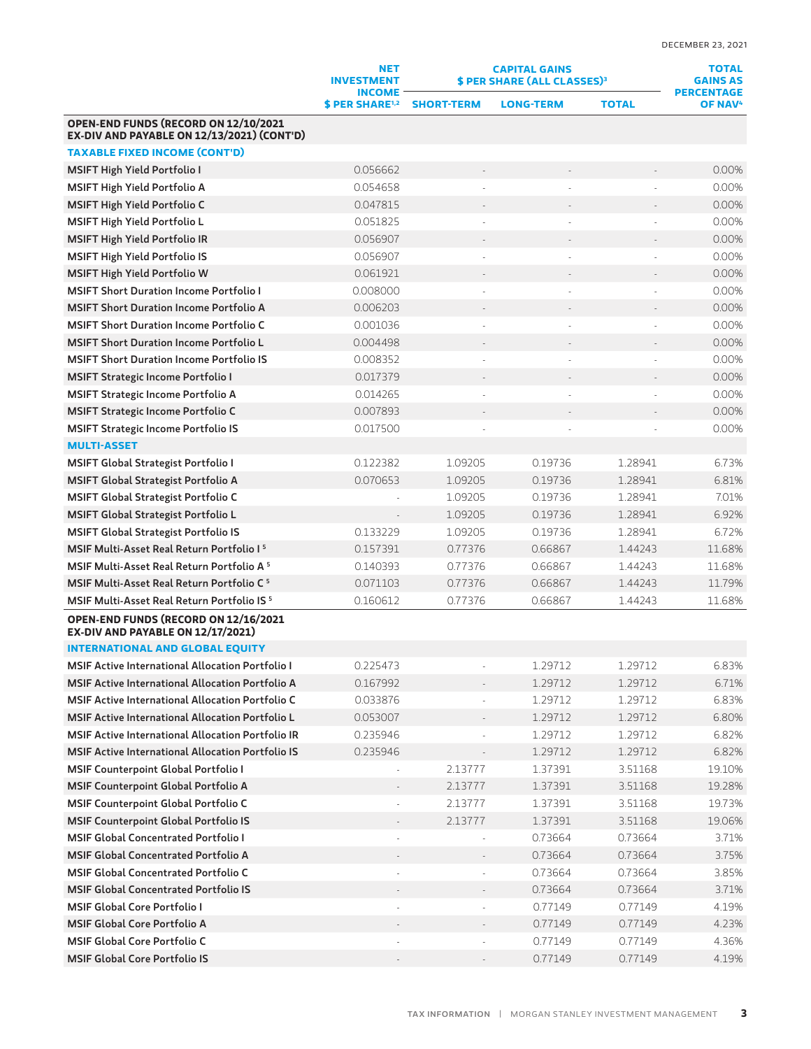|                                                                                    | <b>NET</b><br><b>INVESTMENT</b>              | <b>CAPITAL GAINS</b><br><b>\$ PER SHARE (ALL CLASSES)<sup>3</sup></b> |                  | <b>TOTAL</b><br><b>GAINS AS</b><br><b>PERCENTAGE</b> |                     |
|------------------------------------------------------------------------------------|----------------------------------------------|-----------------------------------------------------------------------|------------------|------------------------------------------------------|---------------------|
|                                                                                    | <b>INCOME</b><br>\$ PER SHARE <sup>1,2</sup> | <b>SHORT-TERM</b>                                                     | <b>LONG-TERM</b> | <b>TOTAL</b>                                         | OF NAV <sup>4</sup> |
| OPEN-END FUNDS (RECORD ON 12/10/2021<br>EX-DIV AND PAYABLE ON 12/13/2021) (CONT'D) |                                              |                                                                       |                  |                                                      |                     |
| <b>TAXABLE FIXED INCOME (CONT'D)</b>                                               |                                              |                                                                       |                  |                                                      |                     |
| <b>MSIFT High Yield Portfolio I</b>                                                | 0.056662                                     |                                                                       |                  |                                                      | $0.00\%$            |
| MSIFT High Yield Portfolio A                                                       | 0.054658                                     |                                                                       |                  |                                                      | 0.00%               |
| MSIFT High Yield Portfolio C                                                       | 0.047815                                     |                                                                       |                  |                                                      | 0.00%               |
| MSIFT High Yield Portfolio L                                                       | 0.051825                                     |                                                                       |                  |                                                      | 0.00%               |
| <b>MSIFT High Yield Portfolio IR</b>                                               | 0.056907                                     |                                                                       |                  |                                                      | 0.00%               |
| <b>MSIFT High Yield Portfolio IS</b>                                               | 0.056907                                     |                                                                       |                  |                                                      | 0.00%               |
| MSIFT High Yield Portfolio W                                                       | 0.061921                                     |                                                                       |                  |                                                      | 0.00%               |
| <b>MSIFT Short Duration Income Portfolio I</b>                                     | 0.008000                                     |                                                                       |                  |                                                      | 0.00%               |
| <b>MSIFT Short Duration Income Portfolio A</b>                                     | 0.006203                                     |                                                                       |                  |                                                      | 0.00%               |
| <b>MSIFT Short Duration Income Portfolio C</b>                                     | 0.001036                                     |                                                                       |                  |                                                      | 0.00%               |
| <b>MSIFT Short Duration Income Portfolio L</b>                                     | 0.004498                                     |                                                                       |                  |                                                      | 0.00%               |
| <b>MSIFT Short Duration Income Portfolio IS</b>                                    | 0.008352                                     |                                                                       |                  |                                                      | 0.00%               |
| <b>MSIFT Strategic Income Portfolio I</b>                                          | 0.017379                                     |                                                                       |                  |                                                      | $0.00\%$            |
| <b>MSIFT Strategic Income Portfolio A</b>                                          | 0.014265                                     |                                                                       |                  |                                                      | 0.00%               |
| <b>MSIFT Strategic Income Portfolio C</b>                                          | 0.007893                                     |                                                                       |                  |                                                      | 0.00%               |
| <b>MSIFT Strategic Income Portfolio IS</b>                                         | 0.017500                                     |                                                                       |                  |                                                      | 0.00%               |
| <b>MULTI-ASSET</b>                                                                 |                                              |                                                                       |                  |                                                      |                     |
| <b>MSIFT Global Strategist Portfolio I</b>                                         | 0.122382                                     | 1.09205                                                               | 0.19736          | 1.28941                                              | 6.73%               |
| <b>MSIFT Global Strategist Portfolio A</b>                                         | 0.070653                                     | 1.09205                                                               | 0.19736          | 1.28941                                              | 6.81%               |
| MSIFT Global Strategist Portfolio C                                                |                                              | 1.09205                                                               | 0.19736          | 1.28941                                              | 7.01%               |
| MSIFT Global Strategist Portfolio L                                                |                                              | 1.09205                                                               | 0.19736          | 1.28941                                              | 6.92%               |
| <b>MSIFT Global Strategist Portfolio IS</b>                                        | 0.133229                                     | 1.09205                                                               | 0.19736          | 1.28941                                              | 6.72%               |
| MSIF Multi-Asset Real Return Portfolio I <sup>5</sup>                              | 0.157391                                     | 0.77376                                                               | 0.66867          | 1.44243                                              | 11.68%              |
| MSIF Multi-Asset Real Return Portfolio A <sup>5</sup>                              | 0.140393                                     | 0.77376                                                               | 0.66867          | 1.44243                                              | 11.68%              |
| MSIF Multi-Asset Real Return Portfolio C <sup>5</sup>                              | 0.071103                                     | 0.77376                                                               | 0.66867          | 1.44243                                              | 11.79%              |
| MSIF Multi-Asset Real Return Portfolio IS 5                                        | 0.160612                                     | 0.77376                                                               | 0.66867          | 1.44243                                              | 11.68%              |
| OPEN-END FUNDS (RECORD ON 12/16/2021<br><b>EX-DIV AND PAYABLE ON 12/17/2021)</b>   |                                              |                                                                       |                  |                                                      |                     |
| <b>INTERNATIONAL AND GLOBAL EQUITY</b>                                             |                                              |                                                                       |                  |                                                      |                     |
| MSIF Active International Allocation Portfolio I                                   | 0.225473                                     |                                                                       | 1.29712          | 1.29712                                              | 6.83%               |
| <b>MSIF Active International Allocation Portfolio A</b>                            | 0.167992                                     |                                                                       | 1.29712          | 1.29712                                              | 6.71%               |
| <b>MSIF Active International Allocation Portfolio C</b>                            | 0.033876                                     |                                                                       | 1.29712          | 1.29712                                              | 6.83%               |
| <b>MSIF Active International Allocation Portfolio L</b>                            | 0.053007                                     |                                                                       | 1.29712          | 1.29712                                              | 6.80%               |
| <b>MSIF Active International Allocation Portfolio IR</b>                           | 0.235946                                     |                                                                       | 1.29712          | 1.29712                                              | 6.82%               |
| <b>MSIF Active International Allocation Portfolio IS</b>                           | 0.235946                                     |                                                                       | 1.29712          | 1.29712                                              | 6.82%               |
| <b>MSIF Counterpoint Global Portfolio I</b>                                        |                                              | 2.13777                                                               | 1.37391          | 3.51168                                              | 19.10%              |
| MSIF Counterpoint Global Portfolio A                                               |                                              | 2.13777                                                               | 1.37391          | 3.51168                                              | 19.28%              |
| MSIF Counterpoint Global Portfolio C                                               |                                              | 2.13777                                                               | 1.37391          | 3.51168                                              | 19.73%              |
| MSIF Counterpoint Global Portfolio IS                                              |                                              | 2.13777                                                               | 1.37391          | 3.51168                                              | 19.06%              |
| <b>MSIF Global Concentrated Portfolio I</b>                                        |                                              |                                                                       | 0.73664          | 0.73664                                              | 3.71%               |
| <b>MSIF Global Concentrated Portfolio A</b>                                        |                                              |                                                                       | 0.73664          | 0.73664                                              | 3.75%               |
| <b>MSIF Global Concentrated Portfolio C</b>                                        |                                              |                                                                       | 0.73664          | 0.73664                                              | 3.85%               |
| <b>MSIF Global Concentrated Portfolio IS</b>                                       |                                              |                                                                       | 0.73664          | 0.73664                                              | 3.71%               |
| <b>MSIF Global Core Portfolio I</b>                                                |                                              |                                                                       | 0.77149          | 0.77149                                              | 4.19%               |
| <b>MSIF Global Core Portfolio A</b>                                                |                                              |                                                                       | 0.77149          | 0.77149                                              | 4.23%               |
| MSIF Global Core Portfolio C                                                       |                                              |                                                                       | 0.77149          | 0.77149                                              | 4.36%               |
| <b>MSIF Global Core Portfolio IS</b>                                               | $\overline{\phantom{a}}$                     | $\overline{\phantom{a}}$                                              | 0.77149          | 0.77149                                              | 4.19%               |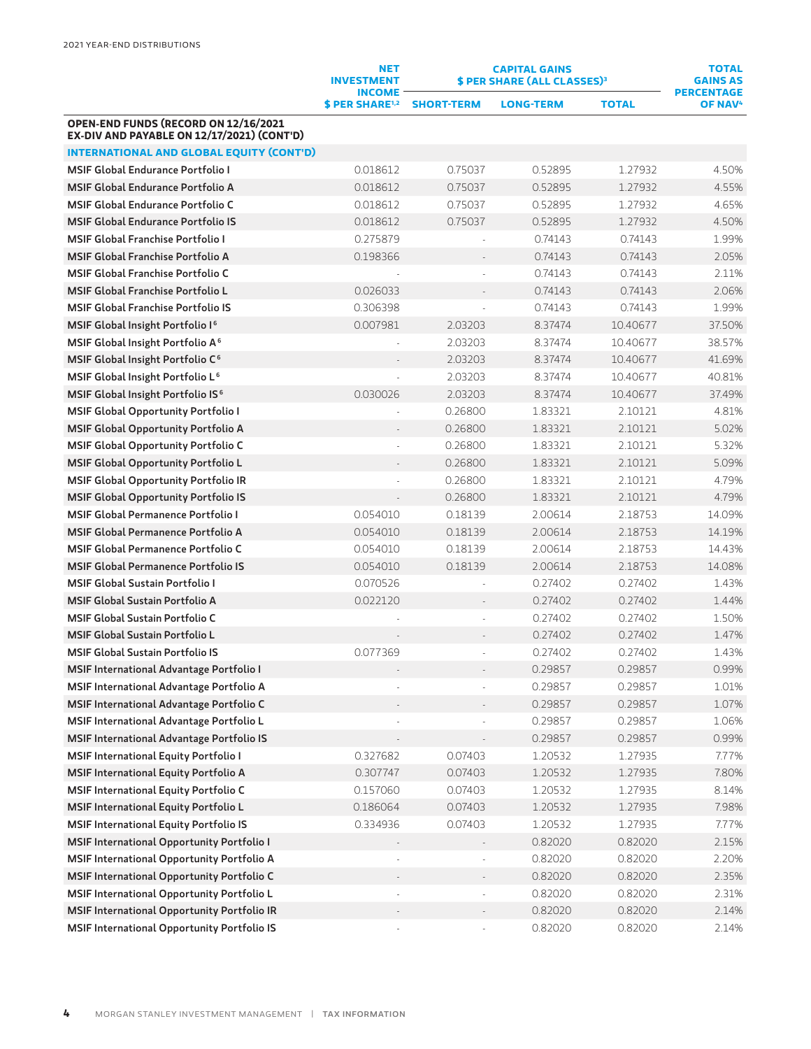|                                                                                    | <b>NET</b><br><b>INVESTMENT</b><br><b>INCOME</b> | <b>CAPITAL GAINS</b><br>\$ PER SHARE (ALL CLASSES) <sup>3</sup> |                  | <b>TOTAL</b><br><b>GAINS AS</b><br><b>PERCENTAGE</b> |                     |
|------------------------------------------------------------------------------------|--------------------------------------------------|-----------------------------------------------------------------|------------------|------------------------------------------------------|---------------------|
|                                                                                    | \$ PER SHARE <sup>1,2</sup>                      | <b>SHORT-TERM</b>                                               | <b>LONG-TERM</b> | <b>TOTAL</b>                                         | OF NAV <sup>4</sup> |
| OPEN-END FUNDS (RECORD ON 12/16/2021<br>EX-DIV AND PAYABLE ON 12/17/2021) (CONT'D) |                                                  |                                                                 |                  |                                                      |                     |
| <b>INTERNATIONAL AND GLOBAL EQUITY (CONT'D)</b>                                    |                                                  |                                                                 |                  |                                                      |                     |
| <b>MSIF Global Endurance Portfolio I</b>                                           | 0.018612                                         | 0.75037                                                         | 0.52895          | 1.27932                                              | 4.50%               |
| <b>MSIF Global Endurance Portfolio A</b>                                           | 0.018612                                         | 0.75037                                                         | 0.52895          | 1.27932                                              | 4.55%               |
| MSIF Global Endurance Portfolio C                                                  | 0.018612                                         | 0.75037                                                         | 0.52895          | 1.27932                                              | 4.65%               |
| <b>MSIF Global Endurance Portfolio IS</b>                                          | 0.018612                                         | 0.75037                                                         | 0.52895          | 1.27932                                              | 4.50%               |
| <b>MSIF Global Franchise Portfolio I</b>                                           | 0.275879                                         |                                                                 | 0.74143          | 0.74143                                              | 1.99%               |
| <b>MSIF Global Franchise Portfolio A</b>                                           | 0.198366                                         |                                                                 | 0.74143          | 0.74143                                              | 2.05%               |
| <b>MSIF Global Franchise Portfolio C</b>                                           |                                                  |                                                                 | 0.74143          | 0.74143                                              | 2.11%               |
| <b>MSIF Global Franchise Portfolio L</b>                                           | 0.026033                                         |                                                                 | 0.74143          | 0.74143                                              | 2.06%               |
| <b>MSIF Global Franchise Portfolio IS</b>                                          | 0.306398                                         |                                                                 | 0.74143          | 0.74143                                              | 1.99%               |
| MSIF Global Insight Portfolio I <sup>6</sup>                                       | 0.007981                                         | 2.03203                                                         | 8.37474          | 10.40677                                             | 37.50%              |
| MSIF Global Insight Portfolio A <sup>6</sup>                                       |                                                  | 2.03203                                                         | 8.37474          | 10.40677                                             | 38.57%              |
| MSIF Global Insight Portfolio C <sup>6</sup>                                       |                                                  | 2.03203                                                         | 8.37474          | 10.40677                                             | 41.69%              |
| MSIF Global Insight Portfolio L <sup>6</sup>                                       |                                                  | 2.03203                                                         | 8.37474          | 10.40677                                             | 40.81%              |
| MSIF Global Insight Portfolio IS <sup>6</sup>                                      | 0.030026                                         | 2.03203                                                         | 8.37474          | 10.40677                                             | 37.49%              |
| MSIF Global Opportunity Portfolio I                                                |                                                  | 0.26800                                                         | 1.83321          | 2.10121                                              | 4.81%               |
| <b>MSIF Global Opportunity Portfolio A</b>                                         |                                                  | 0.26800                                                         | 1.83321          | 2.10121                                              | 5.02%               |
| MSIF Global Opportunity Portfolio C                                                |                                                  | 0.26800                                                         | 1.83321          | 2.10121                                              | 5.32%               |
| MSIF Global Opportunity Portfolio L                                                |                                                  | 0.26800                                                         | 1.83321          | 2.10121                                              | 5.09%               |
| <b>MSIF Global Opportunity Portfolio IR</b>                                        |                                                  | 0.26800                                                         | 1.83321          | 2.10121                                              | 4.79%               |
| <b>MSIF Global Opportunity Portfolio IS</b>                                        |                                                  | 0.26800                                                         | 1.83321          | 2.10121                                              | 4.79%               |
| <b>MSIF Global Permanence Portfolio I</b>                                          | 0.054010                                         | 0.18139                                                         | 2.00614          | 2.18753                                              | 14.09%              |
| <b>MSIF Global Permanence Portfolio A</b>                                          | 0.054010                                         | 0.18139                                                         | 2.00614          | 2.18753                                              | 14.19%              |
| <b>MSIF Global Permanence Portfolio C</b>                                          | 0.054010                                         | 0.18139                                                         | 2.00614          | 2.18753                                              | 14.43%              |
| <b>MSIF Global Permanence Portfolio IS</b>                                         | 0.054010                                         | 0.18139                                                         | 2.00614          | 2.18753                                              | 14.08%              |
| <b>MSIF Global Sustain Portfolio I</b>                                             | 0.070526                                         |                                                                 | 0.27402          | 0.27402                                              | 1.43%               |
| <b>MSIF Global Sustain Portfolio A</b>                                             | 0.022120                                         |                                                                 | 0.27402          | 0.27402                                              | 1.44%               |
| <b>MSIF Global Sustain Portfolio C</b>                                             |                                                  |                                                                 | 0.27402          | 0.27402                                              | 1.50%               |
| <b>MSIF Global Sustain Portfolio L</b>                                             |                                                  |                                                                 | 0.27402          | 0.27402                                              | 1.47%               |
| MSIF Global Sustain Portfolio IS                                                   | 0.077369                                         |                                                                 | 0.27402          | 0.27402                                              | 1.43%               |
| MSIF International Advantage Portfolio I                                           |                                                  |                                                                 | 0.29857          | 0.29857                                              | 0.99%               |
| MSIF International Advantage Portfolio A                                           |                                                  |                                                                 | 0.29857          | 0.29857                                              | 1.01%               |
| MSIF International Advantage Portfolio C                                           |                                                  |                                                                 | 0.29857          | 0.29857                                              | 1.07%               |
| MSIF International Advantage Portfolio L                                           |                                                  |                                                                 | 0.29857          | 0.29857                                              | 1.06%               |
| MSIF International Advantage Portfolio IS                                          |                                                  |                                                                 | 0.29857          | 0.29857                                              | 0.99%               |
| <b>MSIF International Equity Portfolio I</b>                                       | 0.327682                                         | 0.07403                                                         | 1.20532          | 1.27935                                              | 7.77%               |
| MSIF International Equity Portfolio A                                              | 0.307747                                         | 0.07403                                                         | 1.20532          | 1.27935                                              | 7.80%               |
| MSIF International Equity Portfolio C                                              | 0.157060                                         | 0.07403                                                         | 1.20532          | 1.27935                                              | 8.14%               |
| MSIF International Equity Portfolio L                                              | 0.186064                                         | 0.07403                                                         | 1.20532          | 1.27935                                              | 7.98%               |
| <b>MSIF International Equity Portfolio IS</b>                                      | 0.334936                                         | 0.07403                                                         | 1.20532          | 1.27935                                              | 7.77%               |
| MSIF International Opportunity Portfolio I                                         |                                                  |                                                                 | 0.82020          | 0.82020                                              | 2.15%               |
| MSIF International Opportunity Portfolio A                                         |                                                  |                                                                 | 0.82020          | 0.82020                                              | 2.20%               |
| MSIF International Opportunity Portfolio C                                         |                                                  |                                                                 | 0.82020          | 0.82020                                              | 2.35%               |
| MSIF International Opportunity Portfolio L                                         |                                                  |                                                                 | 0.82020          | 0.82020                                              | 2.31%               |
| MSIF International Opportunity Portfolio IR                                        |                                                  |                                                                 | 0.82020          | 0.82020                                              | 2.14%               |
| MSIF International Opportunity Portfolio IS                                        |                                                  |                                                                 | 0.82020          | 0.82020                                              | 2.14%               |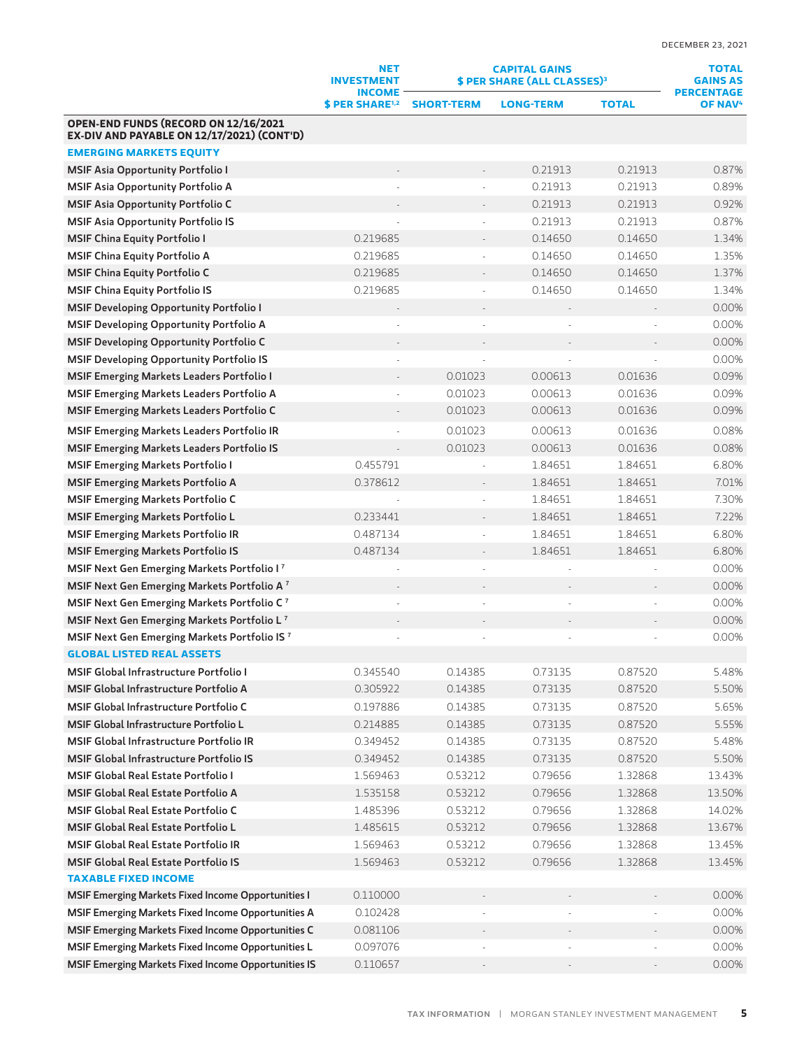|                                                                                                          | <b>NET</b><br><b>INVESTMENT</b>              | <b>CAPITAL GAINS</b><br><b>\$ PER SHARE (ALL CLASSES)<sup>3</sup></b> |                  | <b>TOTAL</b><br><b>GAINS AS</b> |                                          |
|----------------------------------------------------------------------------------------------------------|----------------------------------------------|-----------------------------------------------------------------------|------------------|---------------------------------|------------------------------------------|
|                                                                                                          | <b>INCOME</b><br>\$ PER SHARE <sup>1,2</sup> | <b>SHORT-TERM</b>                                                     | <b>LONG-TERM</b> | <b>TOTAL</b>                    | <b>PERCENTAGE</b><br>OF NAV <sup>4</sup> |
| <b>OPEN-END FUNDS (RECORD ON 12/16/2021</b><br>EX-DIV AND PAYABLE ON 12/17/2021) (CONT'D)                |                                              |                                                                       |                  |                                 |                                          |
| <b>EMERGING MARKETS EQUITY</b>                                                                           |                                              |                                                                       |                  |                                 |                                          |
| <b>MSIF Asia Opportunity Portfolio I</b>                                                                 |                                              |                                                                       | 0.21913          | 0.21913                         | 0.87%                                    |
| <b>MSIF Asia Opportunity Portfolio A</b>                                                                 |                                              |                                                                       | 0.21913          | 0.21913                         | 0.89%                                    |
| <b>MSIF Asia Opportunity Portfolio C</b>                                                                 |                                              |                                                                       | 0.21913          | 0.21913                         | 0.92%                                    |
| <b>MSIF Asia Opportunity Portfolio IS</b>                                                                |                                              |                                                                       | 0.21913          | 0.21913                         | 0.87%                                    |
| <b>MSIF China Equity Portfolio I</b>                                                                     | 0.219685                                     |                                                                       | 0.14650          | 0.14650                         | 1.34%                                    |
| <b>MSIF China Equity Portfolio A</b>                                                                     | 0.219685                                     |                                                                       | 0.14650          | 0.14650                         | 1.35%                                    |
| <b>MSIF China Equity Portfolio C</b>                                                                     | 0.219685                                     |                                                                       | 0.14650          | 0.14650                         | 1.37%                                    |
| <b>MSIF China Equity Portfolio IS</b>                                                                    | 0.219685                                     |                                                                       | 0.14650          | 0.14650                         | 1.34%                                    |
| <b>MSIF Developing Opportunity Portfolio I</b>                                                           |                                              |                                                                       |                  |                                 | 0.00%                                    |
| MSIF Developing Opportunity Portfolio A                                                                  |                                              |                                                                       |                  |                                 | 0.00%                                    |
| <b>MSIF Developing Opportunity Portfolio C</b>                                                           |                                              |                                                                       |                  |                                 | 0.00%                                    |
| <b>MSIF Developing Opportunity Portfolio IS</b>                                                          |                                              |                                                                       |                  |                                 | 0.00%                                    |
| <b>MSIF Emerging Markets Leaders Portfolio I</b>                                                         |                                              | 0.01023                                                               | 0.00613          | 0.01636                         | 0.09%                                    |
| <b>MSIF Emerging Markets Leaders Portfolio A</b>                                                         |                                              | 0.01023                                                               | 0.00613          | 0.01636                         | 0.09%                                    |
| MSIF Emerging Markets Leaders Portfolio C                                                                |                                              | 0.01023                                                               | 0.00613          | 0.01636                         | 0.09%                                    |
| <b>MSIF Emerging Markets Leaders Portfolio IR</b>                                                        |                                              | 0.01023                                                               | 0.00613          | 0.01636                         | 0.08%                                    |
| <b>MSIF Emerging Markets Leaders Portfolio IS</b>                                                        |                                              | 0.01023                                                               | 0.00613          | 0.01636                         | 0.08%                                    |
| <b>MSIF Emerging Markets Portfolio I</b>                                                                 | 0.455791                                     |                                                                       | 1.84651          | 1.84651                         | 6.80%                                    |
| <b>MSIF Emerging Markets Portfolio A</b>                                                                 | 0.378612                                     |                                                                       | 1.84651          | 1.84651                         | 7.01%                                    |
| <b>MSIF Emerging Markets Portfolio C</b>                                                                 |                                              |                                                                       | 1.84651          | 1.84651                         | 7.30%                                    |
| <b>MSIF Emerging Markets Portfolio L</b>                                                                 | 0.233441                                     |                                                                       | 1.84651          | 1.84651                         | 7.22%                                    |
| <b>MSIF Emerging Markets Portfolio IR</b>                                                                | 0.487134                                     |                                                                       | 1.84651          | 1.84651                         | 6.80%                                    |
| <b>MSIF Emerging Markets Portfolio IS</b>                                                                | 0.487134                                     |                                                                       | 1.84651          | 1.84651                         | 6.80%                                    |
| MSIF Next Gen Emerging Markets Portfolio I?                                                              |                                              |                                                                       |                  |                                 | 0.00%                                    |
| MSIF Next Gen Emerging Markets Portfolio A <sup>7</sup>                                                  |                                              |                                                                       |                  |                                 | 0.00%                                    |
| MSIF Next Gen Emerging Markets Portfolio C <sup>7</sup>                                                  |                                              |                                                                       |                  |                                 | 0.00%                                    |
| MSIF Next Gen Emerging Markets Portfolio L <sup>7</sup>                                                  |                                              |                                                                       |                  |                                 | 0.00%                                    |
| MSIF Next Gen Emerging Markets Portfolio IS <sup>7</sup>                                                 |                                              |                                                                       |                  |                                 | 0.00%                                    |
| <b>GLOBAL LISTED REAL ASSETS</b>                                                                         |                                              |                                                                       |                  |                                 |                                          |
| MSIF Global Infrastructure Portfolio I                                                                   | 0.345540                                     | 0.14385                                                               | 0.73135          | 0.87520                         | 5.48%                                    |
| MSIF Global Infrastructure Portfolio A                                                                   | 0.305922                                     | 0.14385                                                               | 0.73135          | 0.87520                         | 5.50%                                    |
| MSIF Global Infrastructure Portfolio C                                                                   | 0.197886                                     | 0.14385                                                               | 0.73135          | 0.87520                         | 5.65%                                    |
| MSIF Global Infrastructure Portfolio L                                                                   | 0.214885                                     | 0.14385                                                               | 0.73135          | 0.87520                         | 5.55%                                    |
| MSIF Global Infrastructure Portfolio IR                                                                  | 0.349452                                     | 0.14385                                                               | 0.73135          | 0.87520                         | 5.48%                                    |
| MSIF Global Infrastructure Portfolio IS                                                                  | 0.349452                                     | 0.14385                                                               | 0.73135          | 0.87520                         | 5.50%                                    |
| <b>MSIF Global Real Estate Portfolio I</b>                                                               | 1.569463                                     | 0.53212                                                               | 0.79656          | 1.32868                         | 13.43%                                   |
| MSIF Global Real Estate Portfolio A                                                                      | 1.535158                                     | 0.53212                                                               | 0.79656          | 1.32868                         | 13.50%                                   |
| MSIF Global Real Estate Portfolio C                                                                      | 1.485396                                     | 0.53212                                                               | 0.79656          | 1.32868                         | 14.02%                                   |
| MSIF Global Real Estate Portfolio L                                                                      |                                              |                                                                       |                  |                                 |                                          |
| MSIF Global Real Estate Portfolio IR                                                                     | 1.485615                                     | 0.53212                                                               | 0.79656          | 1.32868                         | 13.67%                                   |
| <b>MSIF Global Real Estate Portfolio IS</b>                                                              | 1.569463                                     | 0.53212                                                               | 0.79656          | 1.32868                         | 13.45%                                   |
|                                                                                                          | 1.569463                                     | 0.53212                                                               | 0.79656          | 1.32868                         | 13.45%                                   |
| <b>TAXABLE FIXED INCOME</b>                                                                              | 0.110000                                     |                                                                       |                  |                                 | 0.00%                                    |
| MSIF Emerging Markets Fixed Income Opportunities I                                                       |                                              |                                                                       |                  |                                 |                                          |
| MSIF Emerging Markets Fixed Income Opportunities A                                                       | 0.102428                                     |                                                                       |                  |                                 | 0.00%                                    |
| MSIF Emerging Markets Fixed Income Opportunities C<br>MSIF Emerging Markets Fixed Income Opportunities L | 0.081106<br>0.097076                         |                                                                       |                  |                                 | 0.00%<br>0.00%                           |
|                                                                                                          |                                              |                                                                       |                  |                                 | 0.00%                                    |
| MSIF Emerging Markets Fixed Income Opportunities IS                                                      | 0.110657                                     | $\overline{\phantom{a}}$                                              |                  |                                 |                                          |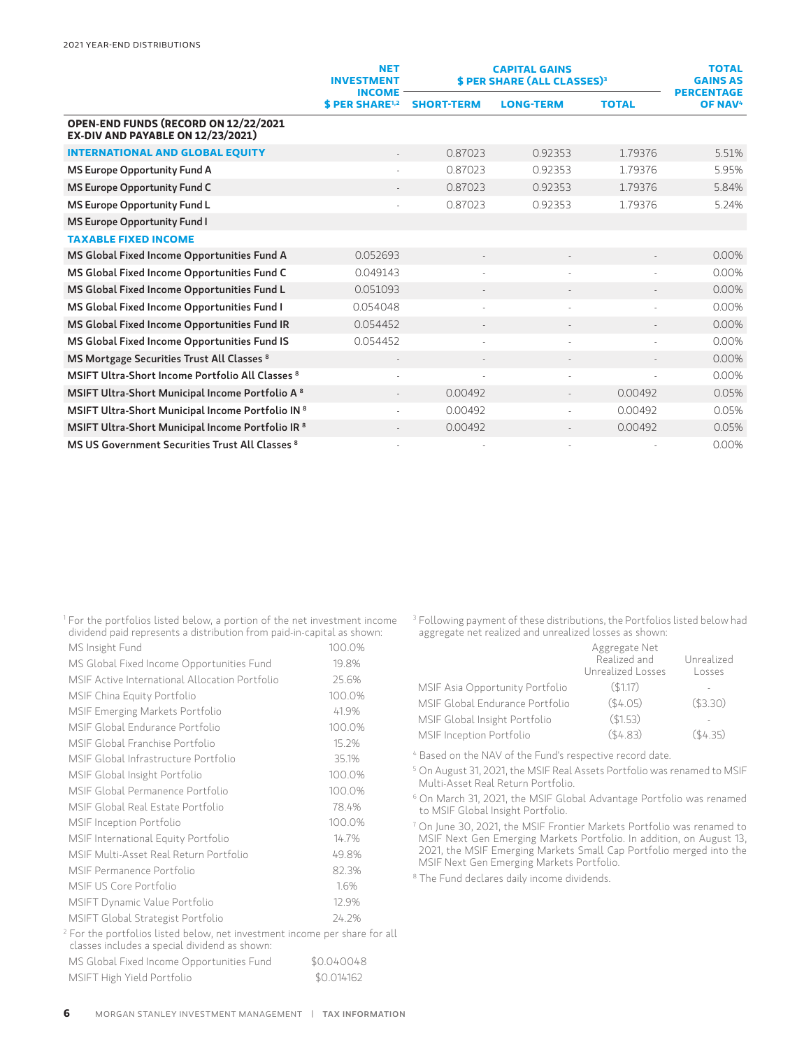|                                                                                  | <b>NET</b><br><b>CAPITAL GAINS</b><br><b>\$ PER SHARE (ALL CLASSES)3</b><br><b>INVESTMENT</b><br><b>INCOME</b> |                   | <b>TOTAL</b><br><b>GAINS AS</b><br><b>PERCENTAGE</b> |              |                     |
|----------------------------------------------------------------------------------|----------------------------------------------------------------------------------------------------------------|-------------------|------------------------------------------------------|--------------|---------------------|
|                                                                                  | \$ PER SHARE <sup>1,2</sup>                                                                                    | <b>SHORT-TERM</b> | <b>LONG-TERM</b>                                     | <b>TOTAL</b> | OF NAV <sup>4</sup> |
| OPEN-END FUNDS (RECORD ON 12/22/2021<br><b>EX-DIV AND PAYABLE ON 12/23/2021)</b> |                                                                                                                |                   |                                                      |              |                     |
| <b>INTERNATIONAL AND GLOBAL EQUITY</b>                                           |                                                                                                                | 0.87023           | 0.92353                                              | 1.79376      | 5.51%               |
| MS Europe Opportunity Fund A                                                     | ä,                                                                                                             | 0.87023           | 0.92353                                              | 1.79376      | 5.95%               |
| MS Europe Opportunity Fund C                                                     |                                                                                                                | 0.87023           | 0.92353                                              | 1.79376      | 5.84%               |
| <b>MS Europe Opportunity Fund L</b>                                              |                                                                                                                | 0.87023           | 0.92353                                              | 1.79376      | 5.24%               |
| <b>MS Europe Opportunity Fund I</b>                                              |                                                                                                                |                   |                                                      |              |                     |
| <b>TAXABLE FIXED INCOME</b>                                                      |                                                                                                                |                   |                                                      |              |                     |
| MS Global Fixed Income Opportunities Fund A                                      | 0.052693                                                                                                       |                   |                                                      |              | 0.00%               |
| MS Global Fixed Income Opportunities Fund C                                      | 0.049143                                                                                                       |                   |                                                      |              | 0.00%               |
| MS Global Fixed Income Opportunities Fund L                                      | 0.051093                                                                                                       |                   |                                                      |              | 0.00%               |
| MS Global Fixed Income Opportunities Fund I                                      | 0.054048                                                                                                       |                   |                                                      |              | 0.00%               |
| MS Global Fixed Income Opportunities Fund IR                                     | 0.054452                                                                                                       |                   |                                                      |              | 0.00%               |
| MS Global Fixed Income Opportunities Fund IS                                     | 0.054452                                                                                                       |                   |                                                      |              | 0.00%               |
| MS Mortgage Securities Trust All Classes 8                                       | $\overline{\phantom{a}}$                                                                                       |                   | $\overline{\phantom{a}}$                             |              | 0.00%               |
| MSIFT Ultra-Short Income Portfolio All Classes 8                                 | $\sim$                                                                                                         |                   | ÷,                                                   |              | 0.00%               |
| MSIFT Ultra-Short Municipal Income Portfolio A <sup>8</sup>                      |                                                                                                                | 0.00492           |                                                      | 0.00492      | 0.05%               |
| MSIFT Ultra-Short Municipal Income Portfolio IN <sup>8</sup>                     | ä,                                                                                                             | 0.00492           |                                                      | 0.00492      | 0.05%               |
| MSIFT Ultra-Short Municipal Income Portfolio IR <sup>8</sup>                     |                                                                                                                | 0.00492           |                                                      | 0.00492      | 0.05%               |
| MS US Government Securities Trust All Classes 8                                  |                                                                                                                |                   |                                                      |              | 0.00%               |

<sup>1</sup> For the portfolios listed below, a portion of the net investment income dividend paid represents a distribution from paid-in-capital as shown: MS Insight Fund 100.0%

| MS Insight Fund                                                                       | 100.0% |
|---------------------------------------------------------------------------------------|--------|
| MS Global Fixed Income Opportunities Fund                                             | 19.8%  |
| MSIF Active International Allocation Portfolio                                        | 25.6%  |
| MSIF China Equity Portfolio                                                           | 100.0% |
| MSIF Emerging Markets Portfolio                                                       | 41.9%  |
| MSIF Global Endurance Portfolio                                                       | 100.0% |
| MSIF Global Franchise Portfolio                                                       | 15.2%  |
| MSIF Global Infrastructure Portfolio                                                  | 35.1%  |
| MSIF Global Insight Portfolio                                                         | 100.0% |
| MSIF Global Permanence Portfolio                                                      | 100.0% |
| MSIF Global Real Estate Portfolio                                                     | 78.4%  |
| MSIF Inception Portfolio                                                              | 100.0% |
| MSIF International Equity Portfolio                                                   | 14.7%  |
| MSIF Multi-Asset Real Return Portfolio                                                | 49.8%  |
| MSIF Permanence Portfolio                                                             | 82.3%  |
| MSIF US Core Portfolio                                                                | 1.6%   |
| MSIFT Dynamic Value Portfolio                                                         | 12.9%  |
| MSIFT Global Strategist Portfolio                                                     | 24.2%  |
| <sup>2</sup> For the portfolios listed below, net investment income per share for all |        |

classes includes a special dividend as shown: MS Global Fixed Income Opportunities Fund \$0.040048 MSIFT High Yield Portfolio  $$0.014162$ 

<sup>3</sup> Following payment of these distributions, the Portfolios listed below had aggregate net realized and unrealized losses as shown:

|                                 | Aggregate Net<br>Realized and<br>Unrealized Losses | Unrealized<br>Losses     |
|---------------------------------|----------------------------------------------------|--------------------------|
| MSIF Asia Opportunity Portfolio | (51.17)                                            |                          |
| MSIF Global Endurance Portfolio | ( \$4.05)                                          | $($ \$3.30)              |
| MSIF Global Insight Portfolio   | $($ \$1.53)                                        | $\overline{\phantom{a}}$ |
| MSIF Inception Portfolio        | ( \$4.83)                                          | $($ \$4.35)              |

4 Based on the NAV of the Fund's respective record date.

<sup>5</sup> On August 31, 2021, the MSIF Real Assets Portfolio was renamed to MSIF Multi-Asset Real Return Portfolio.

<sup>6</sup> On March 31, 2021, the MSIF Global Advantage Portfolio was renamed to MSIF Global Insight Portfolio.

<sup>7</sup> On June 30, 2021, the MSIF Frontier Markets Portfolio was renamed to MSIF Next Gen Emerging Markets Portfolio. In addition, on August 13, 2021, the MSIF Emerging Markets Small Cap Portfolio merged into the MSIF Next Gen Emerging Markets Portfolio.

<sup>8</sup> The Fund declares daily income dividends.